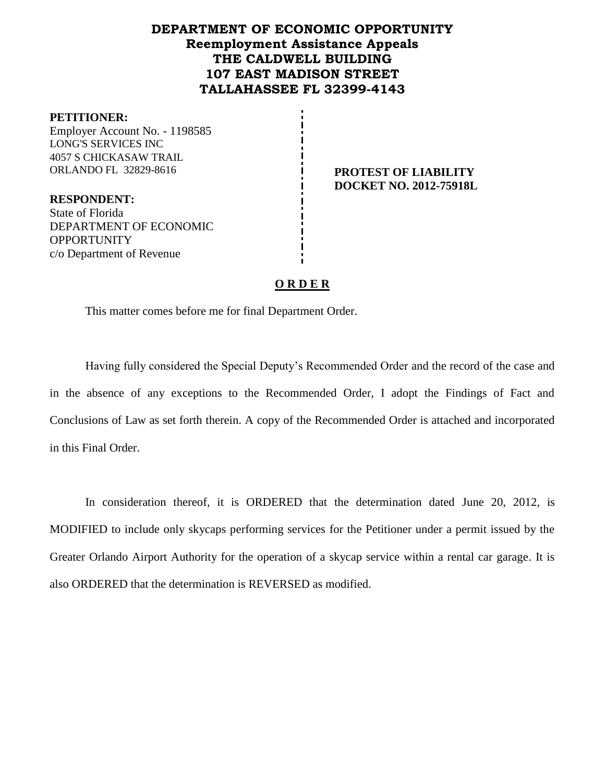# **DEPARTMENT OF ECONOMIC OPPORTUNITY Reemployment Assistance Appeals THE CALDWELL BUILDING 107 EAST MADISON STREET TALLAHASSEE FL 32399-4143**

### **PETITIONER:**

Employer Account No. - 1198585 LONG'S SERVICES INC 4057 S CHICKASAW TRAIL ORLANDO FL 32829-8616 **PROTEST OF LIABILITY**

**DOCKET NO. 2012-75918L**

**RESPONDENT:** State of Florida DEPARTMENT OF ECONOMIC **OPPORTUNITY** c/o Department of Revenue

# **O R D E R**

This matter comes before me for final Department Order.

Having fully considered the Special Deputy's Recommended Order and the record of the case and in the absence of any exceptions to the Recommended Order, I adopt the Findings of Fact and Conclusions of Law as set forth therein. A copy of the Recommended Order is attached and incorporated in this Final Order.

In consideration thereof, it is ORDERED that the determination dated June 20, 2012, is MODIFIED to include only skycaps performing services for the Petitioner under a permit issued by the Greater Orlando Airport Authority for the operation of a skycap service within a rental car garage. It is also ORDERED that the determination is REVERSED as modified.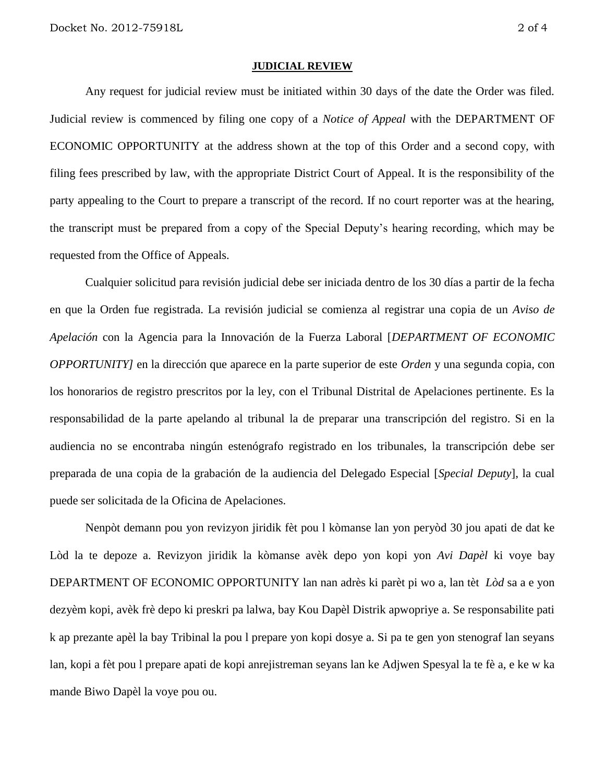#### **JUDICIAL REVIEW**

Any request for judicial review must be initiated within 30 days of the date the Order was filed. Judicial review is commenced by filing one copy of a *Notice of Appeal* with the DEPARTMENT OF ECONOMIC OPPORTUNITY at the address shown at the top of this Order and a second copy, with filing fees prescribed by law, with the appropriate District Court of Appeal. It is the responsibility of the party appealing to the Court to prepare a transcript of the record. If no court reporter was at the hearing, the transcript must be prepared from a copy of the Special Deputy's hearing recording, which may be requested from the Office of Appeals.

Cualquier solicitud para revisión judicial debe ser iniciada dentro de los 30 días a partir de la fecha en que la Orden fue registrada. La revisión judicial se comienza al registrar una copia de un *Aviso de Apelación* con la Agencia para la Innovación de la Fuerza Laboral [*DEPARTMENT OF ECONOMIC OPPORTUNITY]* en la dirección que aparece en la parte superior de este *Orden* y una segunda copia, con los honorarios de registro prescritos por la ley, con el Tribunal Distrital de Apelaciones pertinente. Es la responsabilidad de la parte apelando al tribunal la de preparar una transcripción del registro. Si en la audiencia no se encontraba ningún estenógrafo registrado en los tribunales, la transcripción debe ser preparada de una copia de la grabación de la audiencia del Delegado Especial [*Special Deputy*], la cual puede ser solicitada de la Oficina de Apelaciones.

Nenpòt demann pou yon revizyon jiridik fèt pou l kòmanse lan yon peryòd 30 jou apati de dat ke Lòd la te depoze a. Revizyon jiridik la kòmanse avèk depo yon kopi yon *Avi Dapèl* ki voye bay DEPARTMENT OF ECONOMIC OPPORTUNITY lan nan adrès ki parèt pi wo a, lan tèt *Lòd* sa a e yon dezyèm kopi, avèk frè depo ki preskri pa lalwa, bay Kou Dapèl Distrik apwopriye a. Se responsabilite pati k ap prezante apèl la bay Tribinal la pou l prepare yon kopi dosye a. Si pa te gen yon stenograf lan seyans lan, kopi a fèt pou l prepare apati de kopi anrejistreman seyans lan ke Adjwen Spesyal la te fè a, e ke w ka mande Biwo Dapèl la voye pou ou.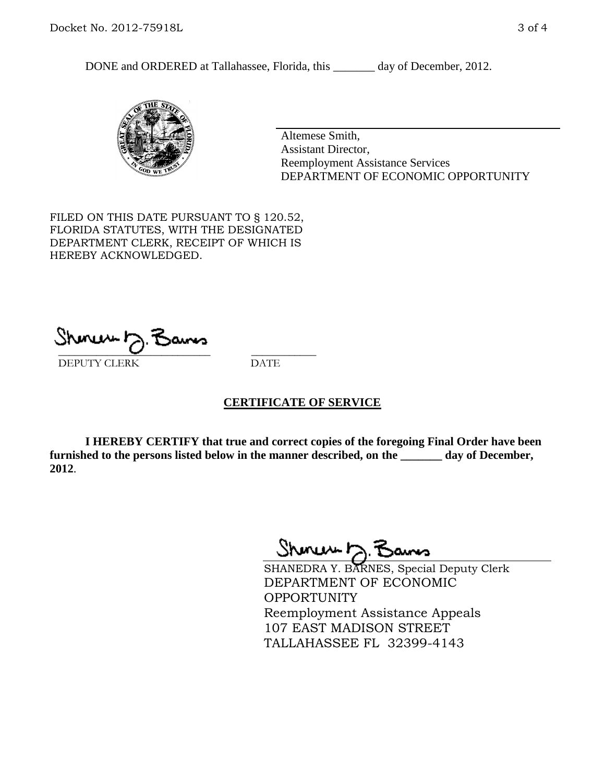DONE and ORDERED at Tallahassee, Florida, this \_\_\_\_\_\_\_ day of December, 2012.



Altemese Smith, Assistant Director, Reemployment Assistance Services DEPARTMENT OF ECONOMIC OPPORTUNITY

FILED ON THIS DATE PURSUANT TO § 120.52, FLORIDA STATUTES, WITH THE DESIGNATED DEPARTMENT CLERK, RECEIPT OF WHICH IS HEREBY ACKNOWLEDGED.

 $\overline{\phantom{a}}$  ,  $\overline{\phantom{a}}$  ,  $\overline{\phantom{a}}$  ,  $\overline{\phantom{a}}$  ,  $\overline{\phantom{a}}$  ,  $\overline{\phantom{a}}$  ,  $\overline{\phantom{a}}$  ,  $\overline{\phantom{a}}$ DEPUTY CLERK DATE

# **CERTIFICATE OF SERVICE**

**I HEREBY CERTIFY that true and correct copies of the foregoing Final Order have been furnished to the persons listed below in the manner described, on the \_\_\_\_\_\_\_ day of December, 2012**.

Sheren J. Bams

SHANEDRA Y. BARNES, Special Deputy Clerk DEPARTMENT OF ECONOMIC OPPORTUNITY Reemployment Assistance Appeals 107 EAST MADISON STREET TALLAHASSEE FL 32399-4143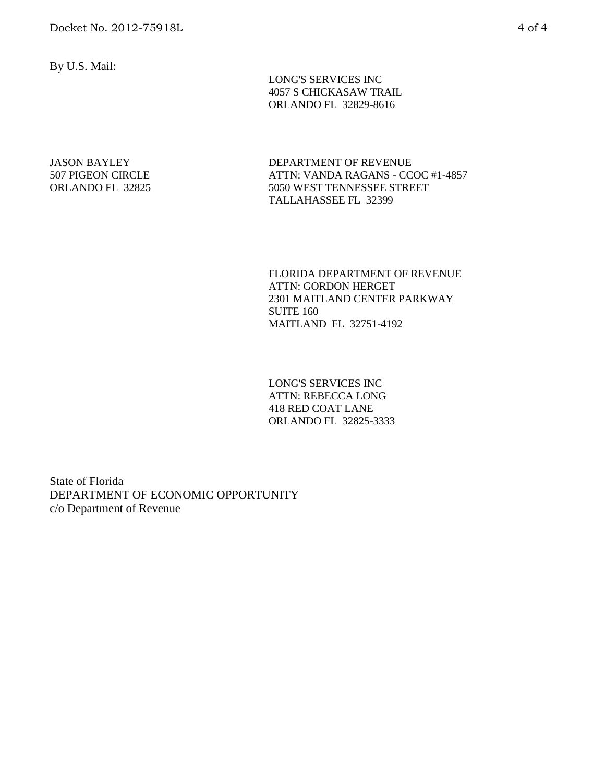By U.S. Mail:

 LONG'S SERVICES INC 4057 S CHICKASAW TRAIL ORLANDO FL 32829-8616

JASON BAYLEY 507 PIGEON CIRCLE ORLANDO FL 32825 DEPARTMENT OF REVENUE ATTN: VANDA RAGANS - CCOC #1-4857 5050 WEST TENNESSEE STREET TALLAHASSEE FL 32399

FLORIDA DEPARTMENT OF REVENUE ATTN: GORDON HERGET 2301 MAITLAND CENTER PARKWAY SUITE 160 MAITLAND FL 32751-4192

LONG'S SERVICES INC ATTN: REBECCA LONG 418 RED COAT LANE ORLANDO FL 32825-3333

State of Florida DEPARTMENT OF ECONOMIC OPPORTUNITY c/o Department of Revenue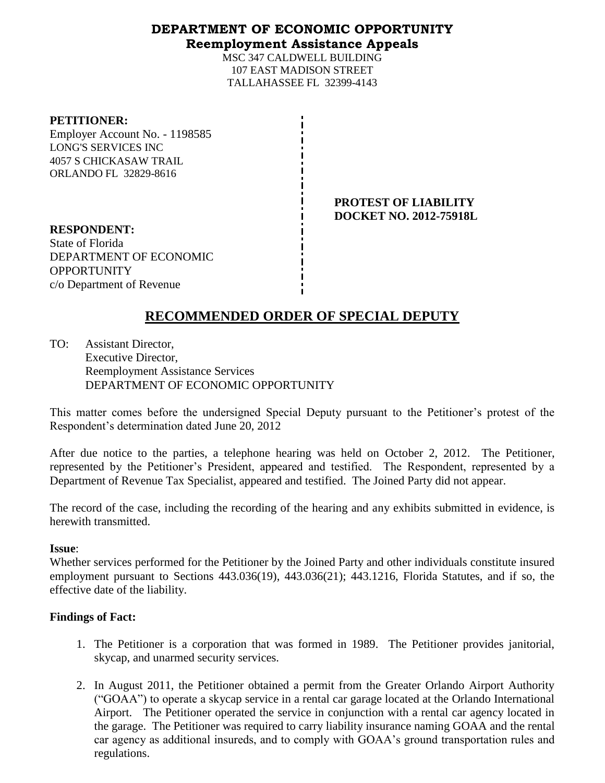# **DEPARTMENT OF ECONOMIC OPPORTUNITY Reemployment Assistance Appeals**

MSC 347 CALDWELL BUILDING 107 EAST MADISON STREET TALLAHASSEE FL 32399-4143

### **PETITIONER:**

Employer Account No. - 1198585 LONG'S SERVICES INC 4057 S CHICKASAW TRAIL ORLANDO FL 32829-8616

> **PROTEST OF LIABILITY DOCKET NO. 2012-75918L**

**RESPONDENT:** State of Florida DEPARTMENT OF ECONOMIC OPPORTUNITY c/o Department of Revenue

# **RECOMMENDED ORDER OF SPECIAL DEPUTY**

TO: Assistant Director, Executive Director, Reemployment Assistance Services DEPARTMENT OF ECONOMIC OPPORTUNITY

This matter comes before the undersigned Special Deputy pursuant to the Petitioner's protest of the Respondent's determination dated June 20, 2012

After due notice to the parties, a telephone hearing was held on October 2, 2012. The Petitioner, represented by the Petitioner's President, appeared and testified. The Respondent, represented by a Department of Revenue Tax Specialist, appeared and testified. The Joined Party did not appear.

The record of the case, including the recording of the hearing and any exhibits submitted in evidence, is herewith transmitted.

# **Issue**:

Whether services performed for the Petitioner by the Joined Party and other individuals constitute insured employment pursuant to Sections 443.036(19), 443.036(21); 443.1216, Florida Statutes, and if so, the effective date of the liability.

# **Findings of Fact:**

- 1. The Petitioner is a corporation that was formed in 1989. The Petitioner provides janitorial, skycap, and unarmed security services.
- 2. In August 2011, the Petitioner obtained a permit from the Greater Orlando Airport Authority ("GOAA") to operate a skycap service in a rental car garage located at the Orlando International Airport. The Petitioner operated the service in conjunction with a rental car agency located in the garage. The Petitioner was required to carry liability insurance naming GOAA and the rental car agency as additional insureds, and to comply with GOAA's ground transportation rules and regulations.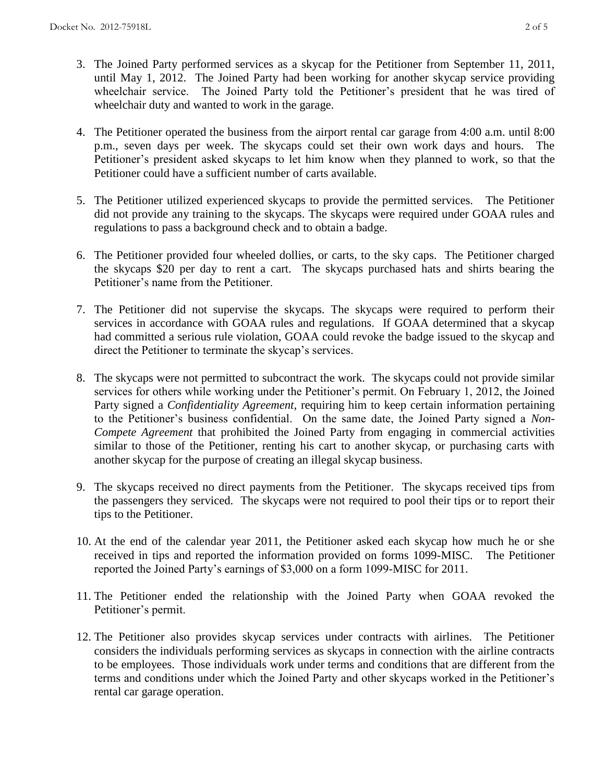- 3. The Joined Party performed services as a skycap for the Petitioner from September 11, 2011, until May 1, 2012. The Joined Party had been working for another skycap service providing wheelchair service. The Joined Party told the Petitioner's president that he was tired of wheelchair duty and wanted to work in the garage.
- 4. The Petitioner operated the business from the airport rental car garage from 4:00 a.m. until 8:00 p.m., seven days per week. The skycaps could set their own work days and hours. The Petitioner's president asked skycaps to let him know when they planned to work, so that the Petitioner could have a sufficient number of carts available.
- 5. The Petitioner utilized experienced skycaps to provide the permitted services. The Petitioner did not provide any training to the skycaps. The skycaps were required under GOAA rules and regulations to pass a background check and to obtain a badge.
- 6. The Petitioner provided four wheeled dollies, or carts, to the sky caps. The Petitioner charged the skycaps \$20 per day to rent a cart. The skycaps purchased hats and shirts bearing the Petitioner's name from the Petitioner.
- 7. The Petitioner did not supervise the skycaps. The skycaps were required to perform their services in accordance with GOAA rules and regulations. If GOAA determined that a skycap had committed a serious rule violation, GOAA could revoke the badge issued to the skycap and direct the Petitioner to terminate the skycap's services.
- 8. The skycaps were not permitted to subcontract the work. The skycaps could not provide similar services for others while working under the Petitioner's permit. On February 1, 2012, the Joined Party signed a *Confidentiality Agreement*, requiring him to keep certain information pertaining to the Petitioner's business confidential. On the same date, the Joined Party signed a *Non-Compete Agreement* that prohibited the Joined Party from engaging in commercial activities similar to those of the Petitioner, renting his cart to another skycap, or purchasing carts with another skycap for the purpose of creating an illegal skycap business.
- 9. The skycaps received no direct payments from the Petitioner. The skycaps received tips from the passengers they serviced. The skycaps were not required to pool their tips or to report their tips to the Petitioner.
- 10. At the end of the calendar year 2011, the Petitioner asked each skycap how much he or she received in tips and reported the information provided on forms 1099-MISC. The Petitioner reported the Joined Party's earnings of \$3,000 on a form 1099-MISC for 2011.
- 11. The Petitioner ended the relationship with the Joined Party when GOAA revoked the Petitioner's permit.
- 12. The Petitioner also provides skycap services under contracts with airlines. The Petitioner considers the individuals performing services as skycaps in connection with the airline contracts to be employees. Those individuals work under terms and conditions that are different from the terms and conditions under which the Joined Party and other skycaps worked in the Petitioner's rental car garage operation.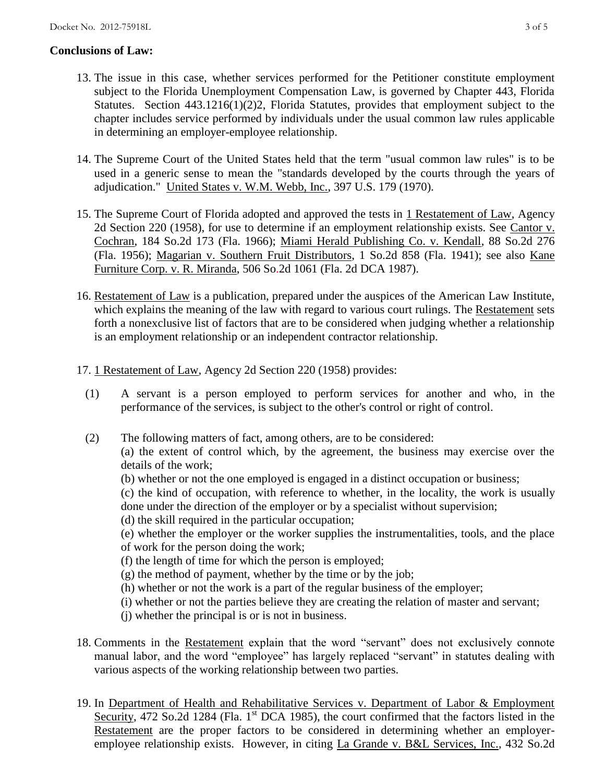# **Conclusions of Law:**

- 13. The issue in this case, whether services performed for the Petitioner constitute employment subject to the Florida Unemployment Compensation Law, is governed by Chapter 443, Florida Statutes. Section 443.1216(1)(2)2, Florida Statutes, provides that employment subject to the chapter includes service performed by individuals under the usual common law rules applicable in determining an employer-employee relationship.
- 14. The Supreme Court of the United States held that the term "usual common law rules" is to be used in a generic sense to mean the "standards developed by the courts through the years of adjudication." United States v. W.M. Webb, Inc., 397 U.S. 179 (1970).
- 15. The Supreme Court of Florida adopted and approved the tests in 1 Restatement of Law, Agency 2d Section 220 (1958), for use to determine if an employment relationship exists. See Cantor v. Cochran, 184 So.2d 173 (Fla. 1966); Miami Herald Publishing Co. v. Kendall, 88 So.2d 276 (Fla. 1956); Magarian v. Southern Fruit Distributors, 1 So.2d 858 (Fla. 1941); see also Kane Furniture Corp. v. R. Miranda, 506 So.2d 1061 (Fla. 2d DCA 1987).
- 16. Restatement of Law is a publication, prepared under the auspices of the American Law Institute, which explains the meaning of the law with regard to various court rulings. The Restatement sets forth a nonexclusive list of factors that are to be considered when judging whether a relationship is an employment relationship or an independent contractor relationship.
- 17. 1 Restatement of Law, Agency 2d Section 220 (1958) provides:
	- (1) A servant is a person employed to perform services for another and who, in the performance of the services, is subject to the other's control or right of control.
	- (2) The following matters of fact, among others, are to be considered: (a) the extent of control which, by the agreement, the business may exercise over the details of the work;
		- (b) whether or not the one employed is engaged in a distinct occupation or business;

(c) the kind of occupation, with reference to whether, in the locality, the work is usually done under the direction of the employer or by a specialist without supervision;

(d) the skill required in the particular occupation;

(e) whether the employer or the worker supplies the instrumentalities, tools, and the place of work for the person doing the work;

- (f) the length of time for which the person is employed;
- $(g)$  the method of payment, whether by the time or by the job;
- (h) whether or not the work is a part of the regular business of the employer;
- (i) whether or not the parties believe they are creating the relation of master and servant;
- (j) whether the principal is or is not in business.
- 18. Comments in the Restatement explain that the word "servant" does not exclusively connote manual labor, and the word "employee" has largely replaced "servant" in statutes dealing with various aspects of the working relationship between two parties.
- 19. In Department of Health and Rehabilitative Services v. Department of Labor & Employment Security, 472 So.2d 1284 (Fla. 1<sup>st</sup> DCA 1985), the court confirmed that the factors listed in the Restatement are the proper factors to be considered in determining whether an employeremployee relationship exists. However, in citing La Grande v. B&L Services, Inc., 432 So.2d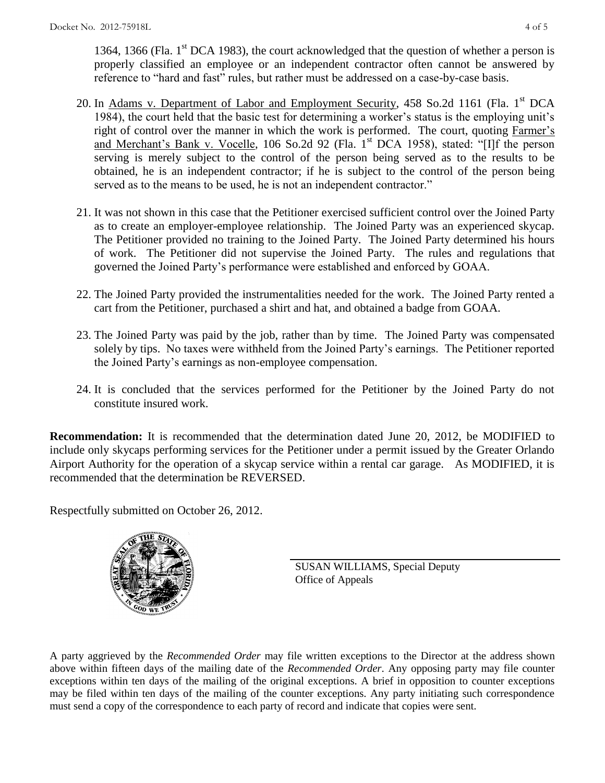1364, 1366 (Fla.  $1<sup>st</sup>$  DCA 1983), the court acknowledged that the question of whether a person is properly classified an employee or an independent contractor often cannot be answered by reference to "hard and fast" rules, but rather must be addressed on a case-by-case basis.

- 20. In Adams v. Department of Labor and Employment Security, 458 So.2d 1161 (Fla. 1<sup>st</sup> DCA 1984), the court held that the basic test for determining a worker's status is the employing unit's right of control over the manner in which the work is performed. The court, quoting Farmer's and Merchant's Bank v. Vocelle, 106 So.2d 92 (Fla. 1<sup>st</sup> DCA 1958), stated: "[I]f the person serving is merely subject to the control of the person being served as to the results to be obtained, he is an independent contractor; if he is subject to the control of the person being served as to the means to be used, he is not an independent contractor."
- 21. It was not shown in this case that the Petitioner exercised sufficient control over the Joined Party as to create an employer-employee relationship. The Joined Party was an experienced skycap. The Petitioner provided no training to the Joined Party. The Joined Party determined his hours of work. The Petitioner did not supervise the Joined Party. The rules and regulations that governed the Joined Party's performance were established and enforced by GOAA.
- 22. The Joined Party provided the instrumentalities needed for the work. The Joined Party rented a cart from the Petitioner, purchased a shirt and hat, and obtained a badge from GOAA.
- 23. The Joined Party was paid by the job, rather than by time. The Joined Party was compensated solely by tips. No taxes were withheld from the Joined Party's earnings. The Petitioner reported the Joined Party's earnings as non-employee compensation.
- 24. It is concluded that the services performed for the Petitioner by the Joined Party do not constitute insured work.

**Recommendation:** It is recommended that the determination dated June 20, 2012, be MODIFIED to include only skycaps performing services for the Petitioner under a permit issued by the Greater Orlando Airport Authority for the operation of a skycap service within a rental car garage. As MODIFIED, it is recommended that the determination be REVERSED.

Respectfully submitted on October 26, 2012.



SUSAN WILLIAMS, Special Deputy Office of Appeals

A party aggrieved by the *Recommended Order* may file written exceptions to the Director at the address shown above within fifteen days of the mailing date of the *Recommended Order*. Any opposing party may file counter exceptions within ten days of the mailing of the original exceptions. A brief in opposition to counter exceptions may be filed within ten days of the mailing of the counter exceptions. Any party initiating such correspondence must send a copy of the correspondence to each party of record and indicate that copies were sent.